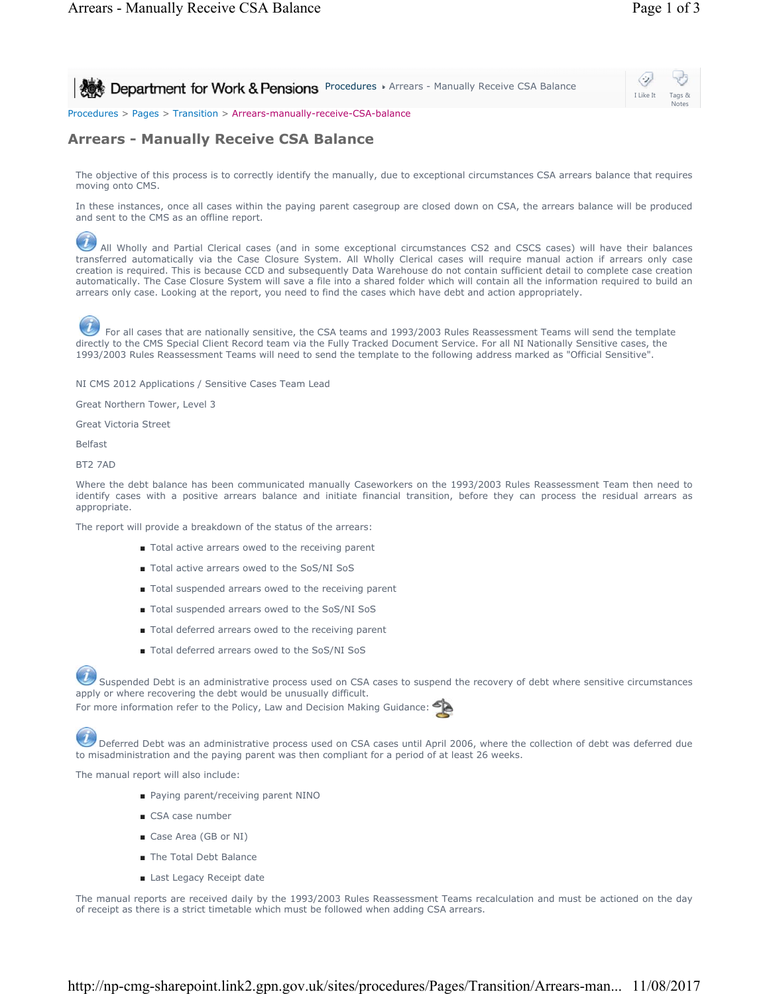Notes

I Like It Tags &

**Procedures > Arrears - Manually Receive CSA Balance** 

Procedures > Pages > Transition > Arrears-manually-receive-CSA-balance

## **Arrears - Manually Receive CSA Balance**

The objective of this process is to correctly identify the manually, due to exceptional circumstances CSA arrears balance that requires moving onto CMS.

In these instances, once all cases within the paying parent casegroup are closed down on CSA, the arrears balance will be produced and sent to the CMS as an offline report.

All Wholly and Partial Clerical cases (and in some exceptional circumstances CS2 and CSCS cases) will have their balances transferred automatically via the Case Closure System. All Wholly Clerical cases will require manual action if arrears only case creation is required. This is because CCD and subsequently Data Warehouse do not contain sufficient detail to complete case creation automatically. The Case Closure System will save a file into a shared folder which will contain all the information required to build an arrears only case. Looking at the report, you need to find the cases which have debt and action appropriately.



 For all cases that are nationally sensitive, the CSA teams and 1993/2003 Rules Reassessment Teams will send the template directly to the CMS Special Client Record team via the Fully Tracked Document Service. For all NI Nationally Sensitive cases, the 1993/2003 Rules Reassessment Teams will need to send the template to the following address marked as "Official Sensitive".

NI CMS 2012 Applications / Sensitive Cases Team Lead

Great Northern Tower, Level 3

Great Victoria Street

Belfast

BT2 7AD

Where the debt balance has been communicated manually Caseworkers on the 1993/2003 Rules Reassessment Team then need to identify cases with a positive arrears balance and initiate financial transition, before they can process the residual arrears as appropriate.

The report will provide a breakdown of the status of the arrears:

- Total active arrears owed to the receiving parent
- Total active arrears owed to the SoS/NI SoS
- Total suspended arrears owed to the receiving parent
- Total suspended arrears owed to the SoS/NI SoS
- Total deferred arrears owed to the receiving parent
- Total deferred arrears owed to the SoS/NI SoS

Suspended Debt is an administrative process used on CSA cases to suspend the recovery of debt where sensitive circumstances apply or where recovering the debt would be unusually difficult.

For more information refer to the Policy, Law and Decision Making Guidance:

 Deferred Debt was an administrative process used on CSA cases until April 2006, where the collection of debt was deferred due to misadministration and the paying parent was then compliant for a period of at least 26 weeks.

The manual report will also include:

- Paying parent/receiving parent NINO
- CSA case number
- Case Area (GB or NI)
- The Total Debt Balance
- Last Legacy Receipt date

The manual reports are received daily by the 1993/2003 Rules Reassessment Teams recalculation and must be actioned on the day of receipt as there is a strict timetable which must be followed when adding CSA arrears.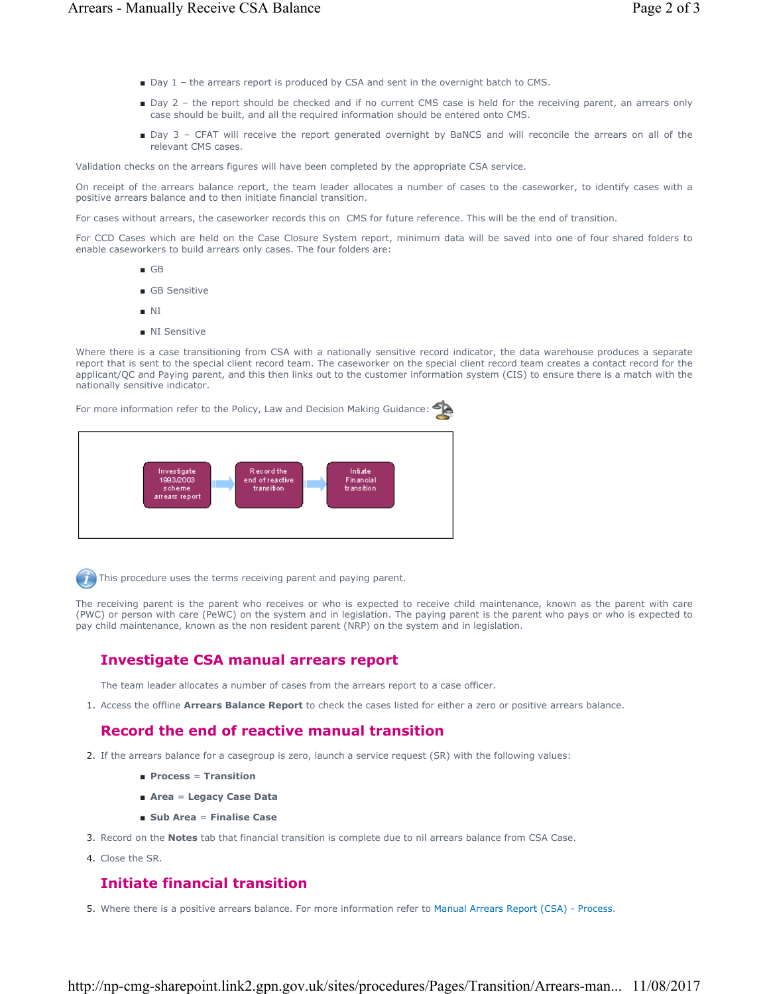- Day 1 the arrears report is produced by CSA and sent in the overnight batch to CMS.
- Day 2 the report should be checked and if no current CMS case is held for the receiving parent, an arrears only case should be built, and all the required information should be entered onto CMS.
- Day 3 CFAT will receive the report generated overnight by BaNCS and will reconcile the arrears on all of the relevant CMS cases.

Validation checks on the arrears figures will have been completed by the appropriate CSA service.

On receipt of the arrears balance report, the team leader allocates a number of cases to the caseworker, to identify cases with a positive arrears balance and to then initiate financial transition.

For cases without arrears, the caseworker records this on CMS for future reference. This will be the end of transition.

For CCD Cases which are held on the Case Closure System report, minimum data will be saved into one of four shared folders to enable caseworkers to build arrears only cases. The four folders are:

- GB
- GB Sensitive
- NI
- NI Sensitive

Where there is a case transitioning from CSA with a nationally sensitive record indicator, the data warehouse produces a separate report that is sent to the special client record team. The caseworker on the special client record team creates a contact record for the applicant/QC and Paying parent, and this then links out to the customer information system (CIS) to ensure there is a match with the nationally sensitive indicator.

For more information refer to the Policy, Law and Decision Making Guidance:



 $\left( n\right)$  This procedure uses the terms receiving parent and paying parent.

The receiving parent is the parent who receives or who is expected to receive child maintenance, known as the parent with care (PWC) or person with care (PeWC) on the system and in legislation. The paying parent is the parent who pays or who is expected to pay child maintenance, known as the non resident parent (NRP) on the system and in legislation.

## **Investigate CSA manual arrears report**

The team leader allocates a number of cases from the arrears report to a case officer.

1. Access the offline **Arrears Balance Report** to check the cases listed for either a zero or positive arrears balance.

## **Record the end of reactive manual transition**

- 2. If the arrears balance for a casegroup is zero, launch a service request (SR) with the following values:
	- **Process** = **Transition**
	- **Area** = **Legacy Case Data**
	- **Sub Area** = **Finalise Case**
- 3. Record on the **Notes** tab that financial transition is complete due to nil arrears balance from CSA Case.
- 4. Close the SR.

## **Initiate financial transition**

5. Where there is a positive arrears balance. For more information refer to Manual Arrears Report (CSA) - Process.